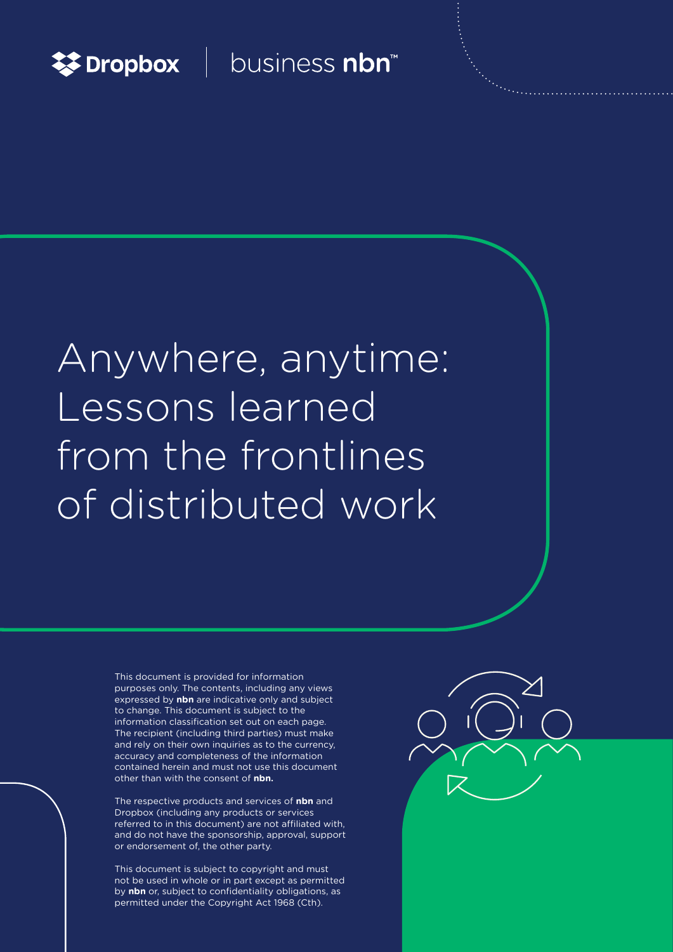

### business nbn<sup>™</sup>

# Anywhere, anytime: Lessons learned from the frontlines of distributed work

This document is provided for information purposes only. The contents, including any views expressed by **nbn** are indicative only and subject to change. This document is subject to the information classification set out on each page. The recipient (including third parties) must make and rely on their own inquiries as to the currency, accuracy and completeness of the information contained herein and must not use this document other than with the consent of **nbn.**

The respective products and services of **nbn** and Dropbox (including any products or services referred to in this document) are not affiliated with, and do not have the sponsorship, approval, support or endorsement of, the other party.

This document is subject to copyright and must not be used in whole or in part except as permitted by **nbn** or, subject to confidentiality obligations, as permitted under the Copyright Act 1968 (Cth).

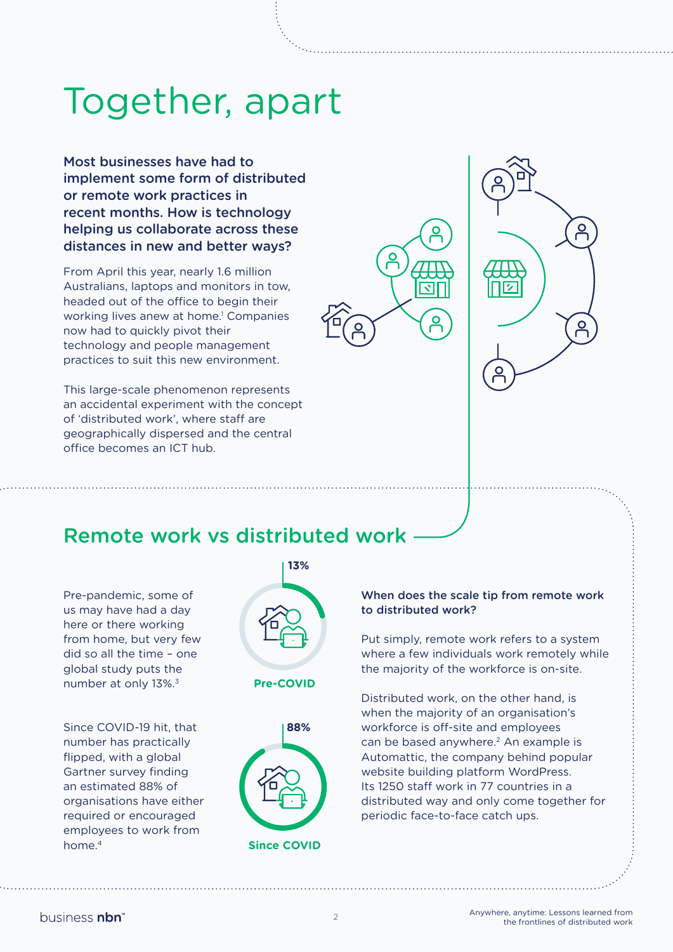## Together, apart

Most businesses have had to implement some form of distributed or remote work practices in recent months. How is technology helping us collaborate across these distances in new and better ways?

From April this year, nearly 1.6 million Australians, laptops and monitors in tow, headed out of the office to begin their working lives anew at home.<sup>1</sup> Companies now had to quickly pivot their technology and people management practices to suit this new environment.

This large-scale phenomenon represents an accidental experiment with the concept of 'distributed work', where staff are geographically dispersed and the central office becomes an ICT hub.



 $\overline{a}$ 

### Remote work vs distributed work

Pre-pandemic, some of us may have had a day here or there working from home, but very few did so all the time – one global study puts the number at only 13%.3

Since COVID-19 hit, that number has practically flipped, with a global Gartner survey finding an estimated 88% of organisations have either required or encouraged employees to work from home<sup>4</sup>





#### When does the scale tip from remote work to distributed work?

Put simply, remote work refers to a system where a few individuals work remotely while the majority of the workforce is on-site.

Distributed work, on the other hand, is when the majority of an organisation's workforce is off-site and employees can be based anywhere.<sup>2</sup> An example is Automattic, the company behind popular website building platform WordPress. Its 1250 staff work in 77 countries in a distributed way and only come together for periodic face-to-face catch ups.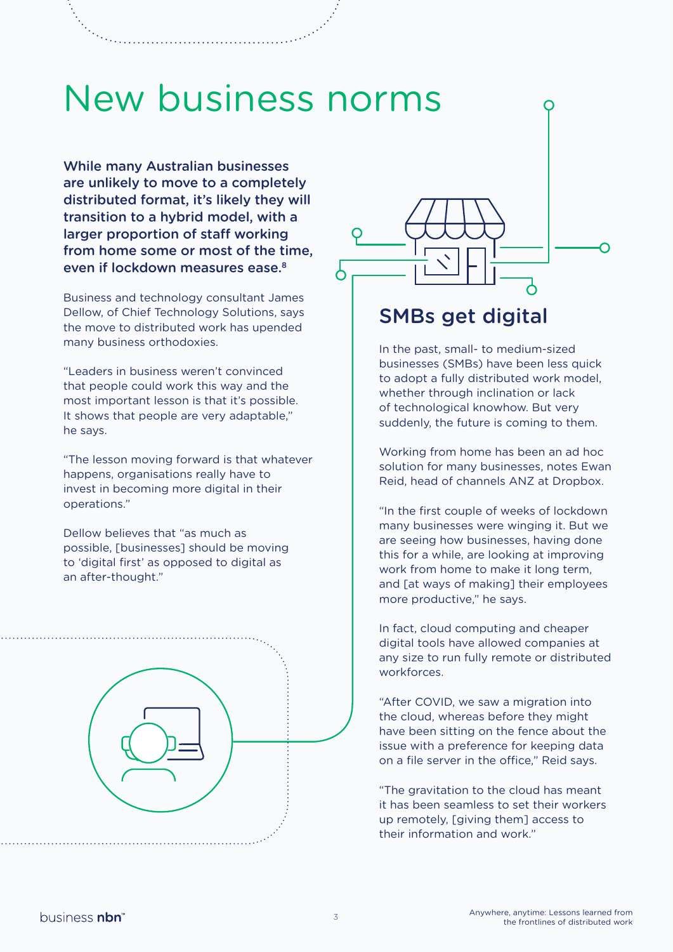## New business norms

While many Australian businesses are unlikely to move to a completely distributed format, it's likely they will transition to a hybrid model, with a larger proportion of staff working from home some or most of the time, even if lockdown measures ease.<sup>8</sup>

Business and technology consultant James Dellow, of Chief Technology Solutions, says the move to distributed work has upended many business orthodoxies.

"Leaders in business weren't convinced that people could work this way and the most important lesson is that it's possible. It shows that people are very adaptable," he says.

"The lesson moving forward is that whatever happens, organisations really have to invest in becoming more digital in their operations."

Dellow believes that "as much as possible, [businesses] should be moving to 'digital first' as opposed to digital as an after-thought."





### SMBs get digital

In the past, small- to medium-sized businesses (SMBs) have been less quick to adopt a fully distributed work model, whether through inclination or lack of technological knowhow. But very suddenly, the future is coming to them.

Working from home has been an ad hoc solution for many businesses, notes Ewan Reid, head of channels ANZ at Dropbox.

"In the first couple of weeks of lockdown many businesses were winging it. But we are seeing how businesses, having done this for a while, are looking at improving work from home to make it long term, and [at ways of making] their employees more productive," he says.

In fact, cloud computing and cheaper digital tools have allowed companies at any size to run fully remote or distributed workforces.

"After COVID, we saw a migration into the cloud, whereas before they might have been sitting on the fence about the issue with a preference for keeping data on a file server in the office," Reid says.

"The gravitation to the cloud has meant it has been seamless to set their workers up remotely, [giving them] access to their information and work."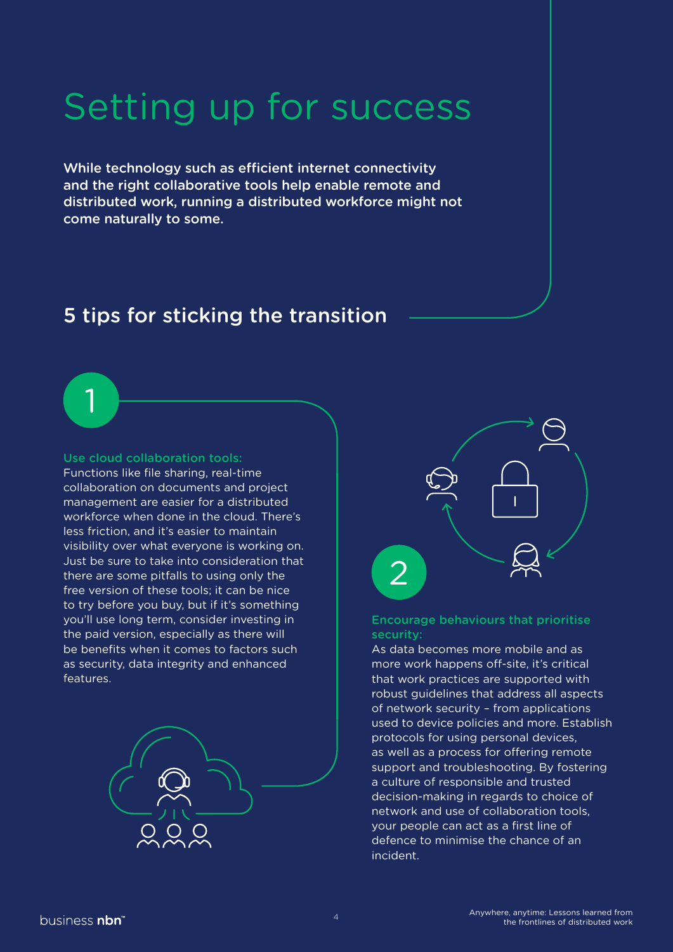## Setting up for success

While technology such as efficient internet connectivity and the right collaborative tools help enable remote and distributed work, running a distributed workforce might not come naturally to some.

### 5 tips for sticking the transition

#### Use cloud collaboration tools:

1

Functions like file sharing, real-time collaboration on documents and project management are easier for a distributed workforce when done in the cloud. There's less friction, and it's easier to maintain visibility over what everyone is working on. Just be sure to take into consideration that there are some pitfalls to using only the free version of these tools; it can be nice to try before you buy, but if it's something you'll use long term, consider investing in the paid version, especially as there will be benefits when it comes to factors such as security, data integrity and enhanced features.





#### Encourage behaviours that prioritise security:

As data becomes more mobile and as more work happens off-site, it's critical that work practices are supported with robust guidelines that address all aspects of network security – from applications used to device policies and more. Establish protocols for using personal devices, as well as a process for offering remote support and troubleshooting. By fostering a culture of responsible and trusted decision-making in regards to choice of network and use of collaboration tools, your people can act as a first line of defence to minimise the chance of an incident.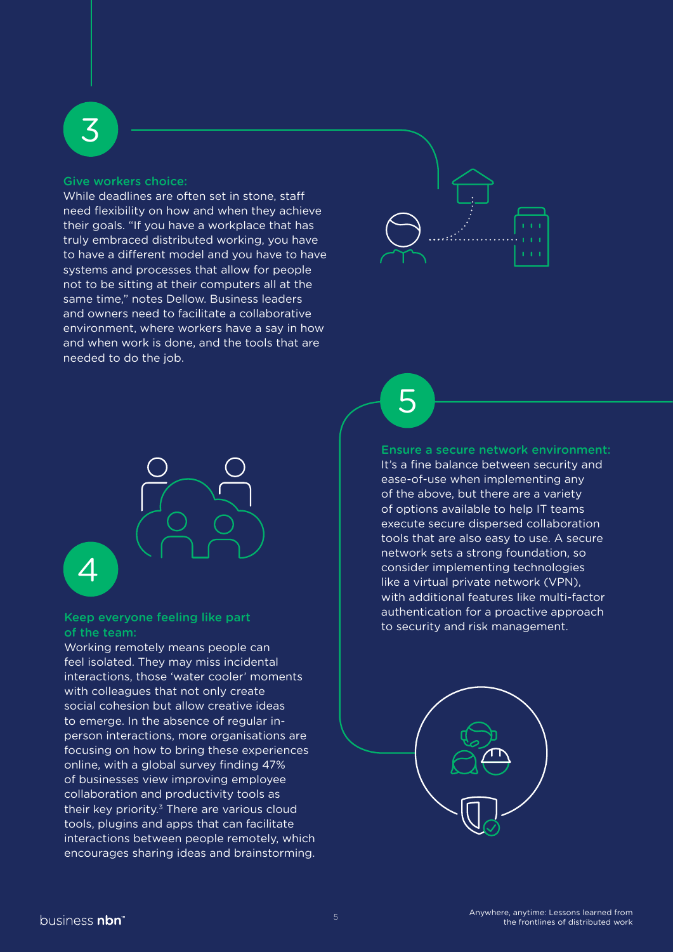#### Give workers choice:

3

While deadlines are often set in stone, staff need flexibility on how and when they achieve their goals. "If you have a workplace that has truly embraced distributed working, you have to have a different model and you have to have systems and processes that allow for people not to be sitting at their computers all at the same time," notes Dellow. Business leaders and owners need to facilitate a collaborative environment, where workers have a say in how and when work is done, and the tools that are needed to do the job.





#### Keep everyone feeling like part of the team:

Working remotely means people can feel isolated. They may miss incidental interactions, those 'water cooler' moments with colleagues that not only create social cohesion but allow creative ideas to emerge. In the absence of regular inperson interactions, more organisations are focusing on how to bring these experiences online, with a global survey finding 47% of businesses view improving employee collaboration and productivity tools as their key priority.<sup>3</sup> There are various cloud tools, plugins and apps that can facilitate interactions between people remotely, which encourages sharing ideas and brainstorming.

5

#### Ensure a secure network environment:

It's a fine balance between security and ease-of-use when implementing any of the above, but there are a variety of options available to help IT teams execute secure dispersed collaboration tools that are also easy to use. A secure network sets a strong foundation, so consider implementing technologies like a virtual private network (VPN), with additional features like multi-factor authentication for a proactive approach to security and risk management.

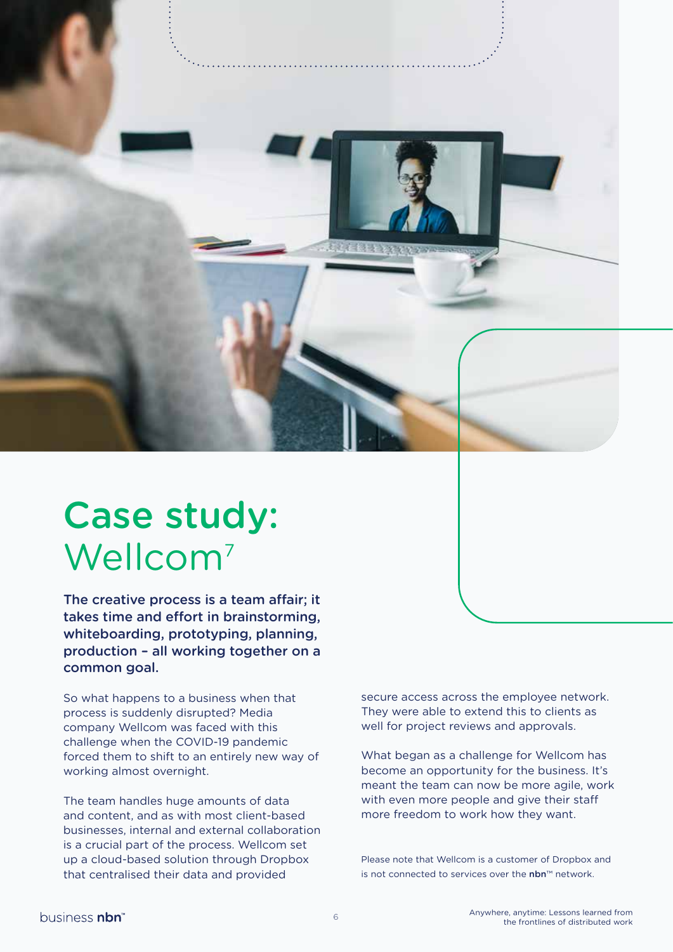

## Case study: Wellcom<sup>7</sup>

The creative process is a team affair; it takes time and effort in brainstorming, whiteboarding, prototyping, planning, production – all working together on a common goal.

So what happens to a business when that process is suddenly disrupted? Media company Wellcom was faced with this challenge when the COVID-19 pandemic forced them to shift to an entirely new way of working almost overnight.

The team handles huge amounts of data and content, and as with most client-based businesses, internal and external collaboration is a crucial part of the process. Wellcom set up a cloud-based solution through Dropbox that centralised their data and provided

secure access across the employee network. They were able to extend this to clients as well for project reviews and approvals.

What began as a challenge for Wellcom has become an opportunity for the business. It's meant the team can now be more agile, work with even more people and give their staff more freedom to work how they want.

Please note that Wellcom is a customer of Dropbox and is not connected to services over the nbn™ network.